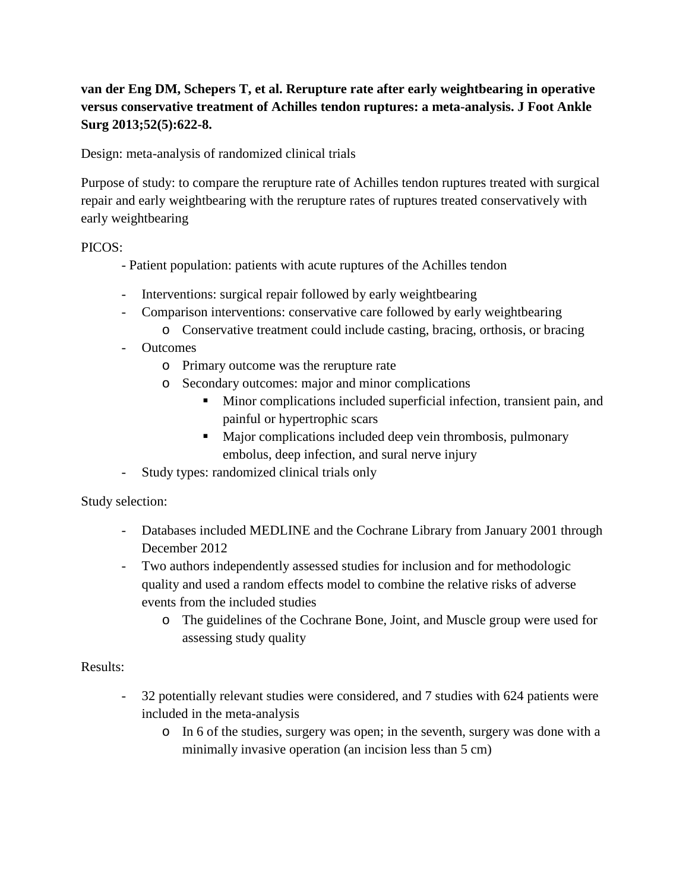# **van der Eng DM, Schepers T, et al. Rerupture rate after early weightbearing in operative versus conservative treatment of Achilles tendon ruptures: a meta-analysis. J Foot Ankle Surg 2013;52(5):622-8.**

Design: meta-analysis of randomized clinical trials

Purpose of study: to compare the rerupture rate of Achilles tendon ruptures treated with surgical repair and early weightbearing with the rerupture rates of ruptures treated conservatively with early weightbearing

## PICOS:

- Patient population: patients with acute ruptures of the Achilles tendon
- Interventions: surgical repair followed by early weightbearing
- Comparison interventions: conservative care followed by early weightbearing
	- o Conservative treatment could include casting, bracing, orthosis, or bracing
- Outcomes
	- o Primary outcome was the rerupture rate
	- o Secondary outcomes: major and minor complications
		- Minor complications included superficial infection, transient pain, and painful or hypertrophic scars
		- Major complications included deep vein thrombosis, pulmonary embolus, deep infection, and sural nerve injury
- Study types: randomized clinical trials only

Study selection:

- Databases included MEDLINE and the Cochrane Library from January 2001 through December 2012
- Two authors independently assessed studies for inclusion and for methodologic quality and used a random effects model to combine the relative risks of adverse events from the included studies
	- o The guidelines of the Cochrane Bone, Joint, and Muscle group were used for assessing study quality

#### Results:

- 32 potentially relevant studies were considered, and 7 studies with 624 patients were included in the meta-analysis
	- o In 6 of the studies, surgery was open; in the seventh, surgery was done with a minimally invasive operation (an incision less than 5 cm)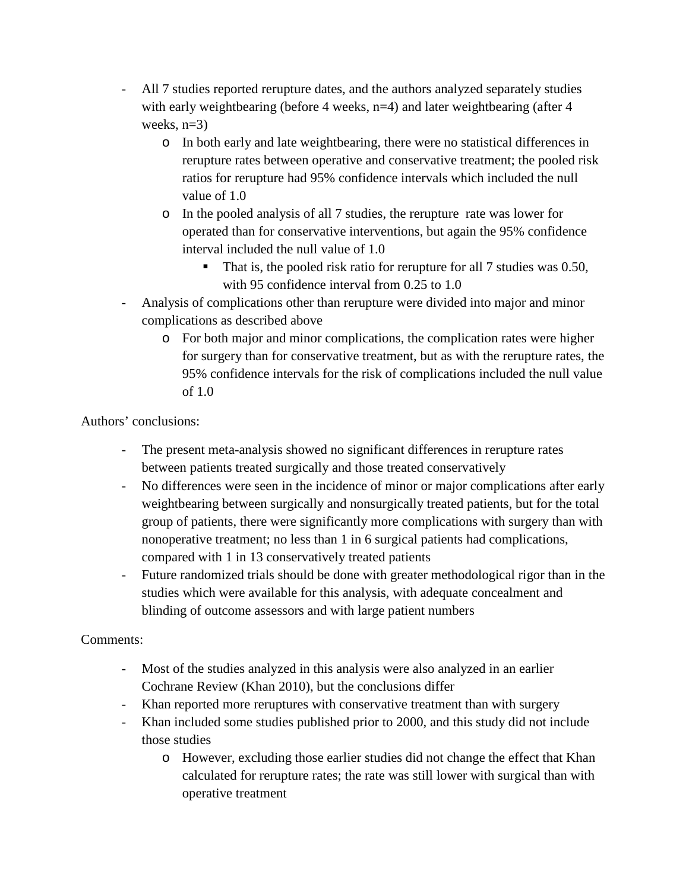- All 7 studies reported rerupture dates, and the authors analyzed separately studies with early weightbearing (before 4 weeks, n=4) and later weightbearing (after 4 weeks,  $n=3$ )
	- o In both early and late weightbearing, there were no statistical differences in rerupture rates between operative and conservative treatment; the pooled risk ratios for rerupture had 95% confidence intervals which included the null value of 1.0
	- o In the pooled analysis of all 7 studies, the rerupture rate was lower for operated than for conservative interventions, but again the 95% confidence interval included the null value of 1.0
		- That is, the pooled risk ratio for rerupture for all 7 studies was 0.50, with 95 confidence interval from 0.25 to 1.0
- Analysis of complications other than rerupture were divided into major and minor complications as described above
	- o For both major and minor complications, the complication rates were higher for surgery than for conservative treatment, but as with the rerupture rates, the 95% confidence intervals for the risk of complications included the null value of 1.0

Authors' conclusions:

- The present meta-analysis showed no significant differences in rerupture rates between patients treated surgically and those treated conservatively
- No differences were seen in the incidence of minor or major complications after early weightbearing between surgically and nonsurgically treated patients, but for the total group of patients, there were significantly more complications with surgery than with nonoperative treatment; no less than 1 in 6 surgical patients had complications, compared with 1 in 13 conservatively treated patients
- Future randomized trials should be done with greater methodological rigor than in the studies which were available for this analysis, with adequate concealment and blinding of outcome assessors and with large patient numbers

# Comments:

- Most of the studies analyzed in this analysis were also analyzed in an earlier Cochrane Review (Khan 2010), but the conclusions differ
- Khan reported more reruptures with conservative treatment than with surgery
- Khan included some studies published prior to 2000, and this study did not include those studies
	- o However, excluding those earlier studies did not change the effect that Khan calculated for rerupture rates; the rate was still lower with surgical than with operative treatment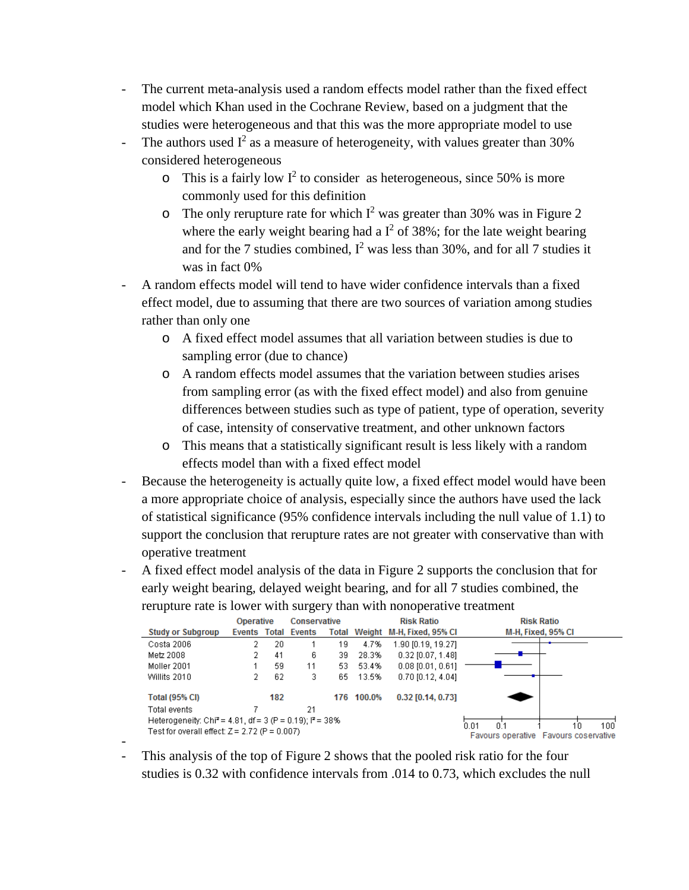- The current meta-analysis used a random effects model rather than the fixed effect model which Khan used in the Cochrane Review, based on a judgment that the studies were heterogeneous and that this was the more appropriate model to use
- The authors used  $I^2$  as a measure of heterogeneity, with values greater than 30% considered heterogeneous
	- $\circ$  This is a fairly low I<sup>2</sup> to consider as heterogeneous, since 50% is more commonly used for this definition
	- o The only rerupture rate for which  $I^2$  was greater than 30% was in Figure 2 where the early weight bearing had a  $I^2$  of 38%; for the late weight bearing and for the 7 studies combined,  $I^2$  was less than 30%, and for all 7 studies it was in fact 0%
- A random effects model will tend to have wider confidence intervals than a fixed effect model, due to assuming that there are two sources of variation among studies rather than only one
	- o A fixed effect model assumes that all variation between studies is due to sampling error (due to chance)
	- o A random effects model assumes that the variation between studies arises from sampling error (as with the fixed effect model) and also from genuine differences between studies such as type of patient, type of operation, severity of case, intensity of conservative treatment, and other unknown factors
	- o This means that a statistically significant result is less likely with a random effects model than with a fixed effect model
- Because the heterogeneity is actually quite low, a fixed effect model would have been a more appropriate choice of analysis, especially since the authors have used the lack of statistical significance (95% confidence intervals including the null value of 1.1) to support the conclusion that rerupture rates are not greater with conservative than with operative treatment
- A fixed effect model analysis of the data in Figure 2 supports the conclusion that for early weight bearing, delayed weight bearing, and for all 7 studies combined, the rerupture rate is lower with surgery than with nonoperative treatment

|                                                                                      |                          | <b>Operative</b> |     | Conservative        |     |        | <b>Risk Ratio</b>               | <b>Risk Ratio</b>                                            |
|--------------------------------------------------------------------------------------|--------------------------|------------------|-----|---------------------|-----|--------|---------------------------------|--------------------------------------------------------------|
|                                                                                      | <b>Study or Subgroup</b> |                  |     | Events Total Events |     |        | Total Weight M-H, Fixed, 95% CI | M-H, Fixed, 95% CI                                           |
|                                                                                      | Costa 2006               |                  | 20  |                     | 19  | 4.7%   | 1.90 [0.19, 19.27]              |                                                              |
|                                                                                      | Metz 2008                |                  | 41  | 6.                  | 39  | 28.3%  | $0.32$ [0.07, 1.48]             |                                                              |
|                                                                                      | Moller 2001              |                  | 59  | 11                  | 53  | 53.4%  | $0.08$ $[0.01, 0.61]$           |                                                              |
|                                                                                      | Willits 2010             |                  | 62  | 3                   | 65  | 13.5%  | 0.70 [0.12, 4.04]               |                                                              |
|                                                                                      | Total (95% CI)           |                  | 182 |                     | 176 | 100.0% | $0.32$ [0.14, 0.73]             |                                                              |
|                                                                                      | Total events             |                  |     | 21                  |     |        |                                 |                                                              |
| Heterogeneity: Chi <sup>2</sup> = 4.81, df = 3 (P = 0.19); $P = 38\%$<br>0.01<br>0.1 |                          |                  |     |                     |     |        |                                 |                                                              |
| Test for overall effect: $Z = 2.72$ (P = 0.007)                                      |                          |                  |     |                     |     |        |                                 | $100^{\circ}$<br>10<br>Favours operative Favours coservative |

- - This analysis of the top of Figure 2 shows that the pooled risk ratio for the four studies is 0.32 with confidence intervals from .014 to 0.73, which excludes the null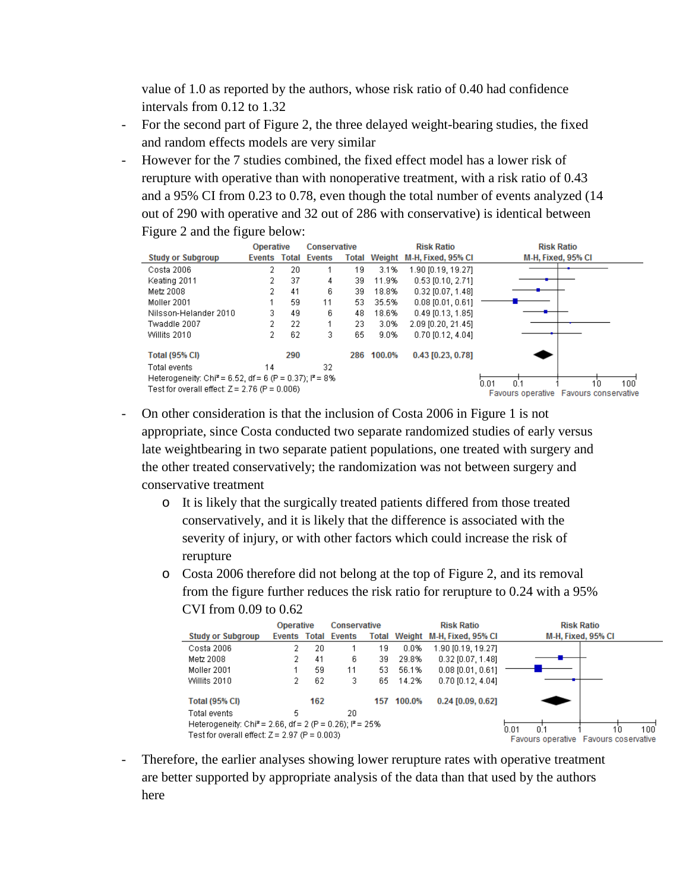value of 1.0 as reported by the authors, whose risk ratio of 0.40 had confidence intervals from 0.12 to 1.32

- For the second part of Figure 2, the three delayed weight-bearing studies, the fixed and random effects models are very similar
- However for the 7 studies combined, the fixed effect model has a lower risk of rerupture with operative than with nonoperative treatment, with a risk ratio of 0.43 and a 95% CI from 0.23 to 0.78, even though the total number of events analyzed (14 out of 290 with operative and 32 out of 286 with conservative) is identical between Figure 2 and the figure below:

|                                                                                                                                                   | <b>Operative</b> |              |               | Conservative |        | <b>Risk Ratio</b>                      | <b>Risk Ratio</b>  |
|---------------------------------------------------------------------------------------------------------------------------------------------------|------------------|--------------|---------------|--------------|--------|----------------------------------------|--------------------|
| <b>Study or Subgroup</b>                                                                                                                          | Events           | <b>Total</b> | <b>Events</b> |              |        | Total Weight M-H, Fixed, 95% Cl        | M-H, Fixed, 95% CI |
| Costa 2006                                                                                                                                        | 2                | 20           |               | 19           | 3.1%   | 1.90 [0.19, 19.27]                     |                    |
| Keating 2011                                                                                                                                      |                  | 37           | 4             | 39           | 11.9%  | $0.53$ [0.10, 2.71]                    |                    |
| Metz 2008                                                                                                                                         |                  | 41           | 6             | 39           | 18.8%  | $0.32$ [0.07, 1.48]                    |                    |
| Moller 2001                                                                                                                                       |                  | 59           | 11            | 53.          | 35.5%  | $0.08$ [0.01, 0.61]                    |                    |
| Nilsson-Helander 2010                                                                                                                             | 3                | 49           | 6             | 48           | 18.6%  | $0.49$ [0.13, 1.85]                    |                    |
| Twaddle 2007                                                                                                                                      |                  | 22           |               | 23.          | 3.0%   | 2.09 [0.20, 21.45]                     |                    |
| Willits 2010                                                                                                                                      |                  | 62           | 3             | 65           | 9.0%   | 0.70 [0.12, 4.04]                      |                    |
| <b>Total (95% CI)</b>                                                                                                                             |                  | 290          |               | 286          | 100.0% | 0.43 [0.23, 0.78]                      |                    |
| Total events                                                                                                                                      | 14               |              | 32            |              |        |                                        |                    |
| Heterogeneity: Chi <sup>2</sup> = 6.52, df = 6 (P = 0.37); $P = 8\%$<br>0.01<br>0 <sup>1</sup><br>Test for overall effect: $Z = 2.76$ (P = 0.006) |                  |              |               |              |        | $100^{\circ}$<br>10                    |                    |
|                                                                                                                                                   |                  |              |               |              |        | Favours operative Favours conservative |                    |

- On other consideration is that the inclusion of Costa 2006 in Figure 1 is not appropriate, since Costa conducted two separate randomized studies of early versus late weightbearing in two separate patient populations, one treated with surgery and the other treated conservatively; the randomization was not between surgery and conservative treatment
	- o It is likely that the surgically treated patients differed from those treated conservatively, and it is likely that the difference is associated with the severity of injury, or with other factors which could increase the risk of rerupture
	- o Costa 2006 therefore did not belong at the top of Figure 2, and its removal from the figure further reduces the risk ratio for rerupture to 0.24 with a 95% CVI from 0.09 to 0.62

|                                                                        | <b>Operative</b> |     | Conservative        |     | <b>Risk Ratio</b> |                                 | <b>Risk Ratio</b>                     |  |
|------------------------------------------------------------------------|------------------|-----|---------------------|-----|-------------------|---------------------------------|---------------------------------------|--|
| <b>Study or Subgroup</b>                                               |                  |     | Events Total Events |     |                   | Total Weight M-H, Fixed, 95% CI | M-H, Fixed, 95% CI                    |  |
| Costa 2006                                                             | 2.               | 20  |                     | 19  | 0.0%              | 1.90 [0.19, 19.27]              |                                       |  |
| Metz 2008                                                              | 2                | 41  | 6                   | 39  | 29.8%             | $0.32$ [0.07, 1.48]             |                                       |  |
| Moller 2001                                                            |                  | 59  | 11                  | 53. | 56.1%             | $0.08$ [0.01, 0.61]             |                                       |  |
| Willits 2010                                                           | 2.               | 62  | 3                   | 65. | 14.2%             | $0.70$ $[0.12, 4.04]$           |                                       |  |
| <b>Total (95% CI)</b>                                                  |                  | 162 |                     |     | 157 100.0%        | $0.24$ [0.09, 0.62]             |                                       |  |
| Total events                                                           | 5                |     | 20                  |     |                   |                                 |                                       |  |
| Heterogeneity: Chi <sup>2</sup> = 2.66, df = 2 (P = 0.26); $I^2$ = 25% |                  |     |                     |     |                   |                                 | 0.01<br>n 1<br>100<br>10              |  |
| Test for overall effect: $Z = 2.97$ (P = 0.003)                        |                  |     |                     |     |                   |                                 | Favours operative Favours coservative |  |

- Therefore, the earlier analyses showing lower rerupture rates with operative treatment are better supported by appropriate analysis of the data than that used by the authors here